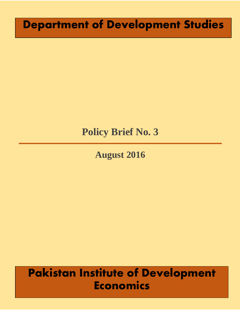# **Department of Development Studies**

## **Policy Brief No. 3**

## **August 2016**

# **Pakistan Institute of Development Economics**